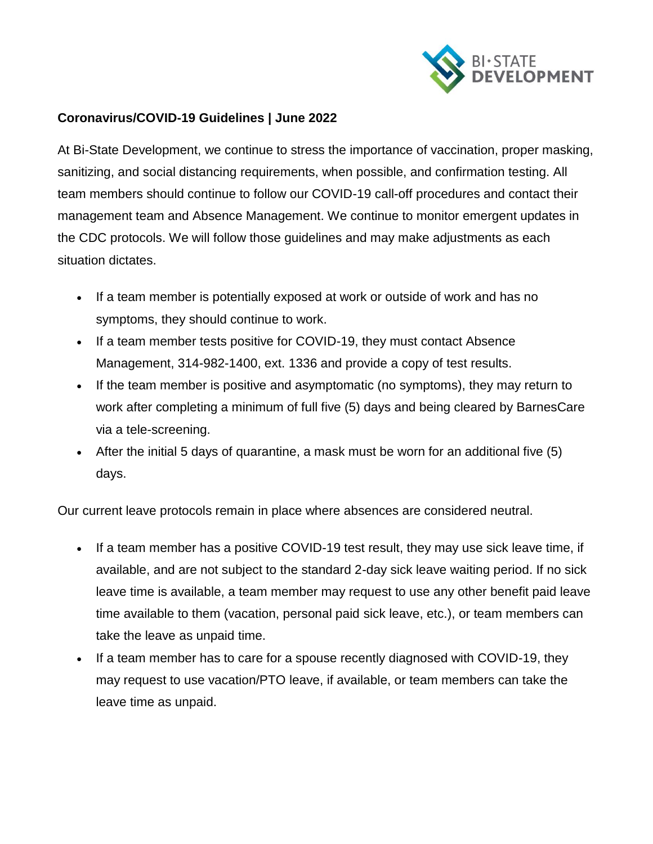

## **Coronavirus/COVID-19 Guidelines | June 2022**

At Bi-State Development, we continue to stress the importance of vaccination, proper masking, sanitizing, and social distancing requirements, when possible, and confirmation testing. All team members should continue to follow our COVID-19 call-off procedures and contact their management team and Absence Management. We continue to monitor emergent updates in the CDC protocols. We will follow those guidelines and may make adjustments as each situation dictates.

- If a team member is potentially exposed at work or outside of work and has no symptoms, they should continue to work.
- If a team member tests positive for COVID-19, they must contact Absence Management, 314-982-1400, ext. 1336 and provide a copy of test results.
- If the team member is positive and asymptomatic (no symptoms), they may return to work after completing a minimum of full five (5) days and being cleared by BarnesCare via a tele-screening.
- After the initial 5 days of quarantine, a mask must be worn for an additional five (5) days.

Our current leave protocols remain in place where absences are considered neutral.

- If a team member has a positive COVID-19 test result, they may use sick leave time, if available, and are not subject to the standard 2-day sick leave waiting period. If no sick leave time is available, a team member may request to use any other benefit paid leave time available to them (vacation, personal paid sick leave, etc.), or team members can take the leave as unpaid time.
- If a team member has to care for a spouse recently diagnosed with COVID-19, they may request to use vacation/PTO leave, if available, or team members can take the leave time as unpaid.